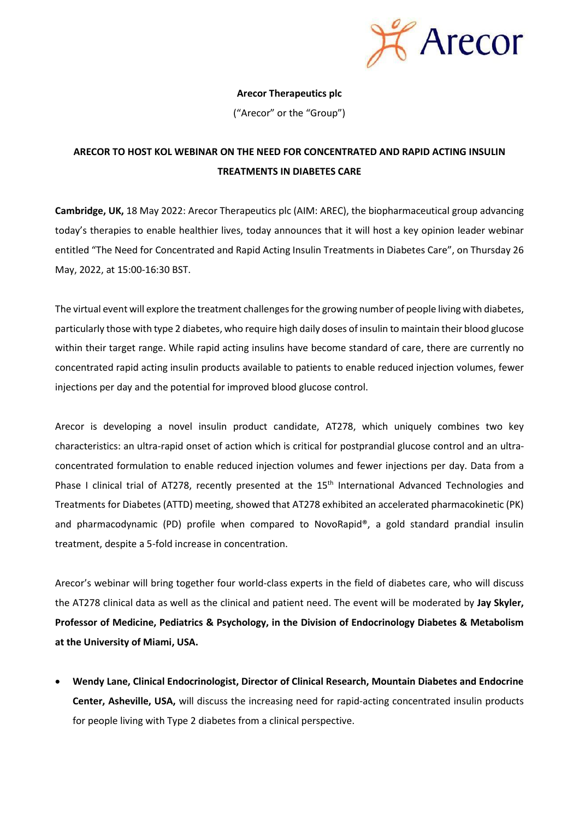

## **Arecor Therapeutics plc**

("Arecor" or the "Group")

# **ARECOR TO HOST KOL WEBINAR ON THE NEED FOR CONCENTRATED AND RAPID ACTING INSULIN TREATMENTS IN DIABETES CARE**

**Cambridge, UK,** 18 May 2022: Arecor Therapeutics plc (AIM: AREC), the biopharmaceutical group advancing today's therapies to enable healthier lives, today announces that it will host a key opinion leader webinar entitled "The Need for Concentrated and Rapid Acting Insulin Treatments in Diabetes Care", on Thursday 26 May, 2022, at 15:00-16:30 BST.

The virtual event will explore the treatment challenges for the growing number of people living with diabetes, particularly those with type 2 diabetes, who require high daily doses of insulin to maintain their blood glucose within their target range. While rapid acting insulins have become standard of care, there are currently no concentrated rapid acting insulin products available to patients to enable reduced injection volumes, fewer injections per day and the potential for improved blood glucose control.

Arecor is developing a novel insulin product candidate, AT278, which uniquely combines two key characteristics: an ultra-rapid onset of action which is critical for postprandial glucose control and an ultraconcentrated formulation to enable reduced injection volumes and fewer injections per day. Data from a Phase I clinical trial of AT278, recently presented at the 15<sup>th</sup> International Advanced Technologies and Treatments for Diabetes (ATTD) meeting, showed that AT278 exhibited an accelerated pharmacokinetic (PK) and pharmacodynamic (PD) profile when compared to NovoRapid®, a gold standard prandial insulin treatment, despite a 5-fold increase in concentration.

Arecor's webinar will bring together four world-class experts in the field of diabetes care, who will discuss the AT278 clinical data as well as the clinical and patient need. The event will be moderated by **Jay Skyler, Professor of Medicine, Pediatrics & Psychology, in the Division of Endocrinology Diabetes & Metabolism at the University of Miami, USA.**

• **Wendy Lane, Clinical Endocrinologist, Director of Clinical Research, Mountain Diabetes and Endocrine Center, Asheville, USA,** will discuss the increasing need for rapid-acting concentrated insulin products for people living with Type 2 diabetes from a clinical perspective.